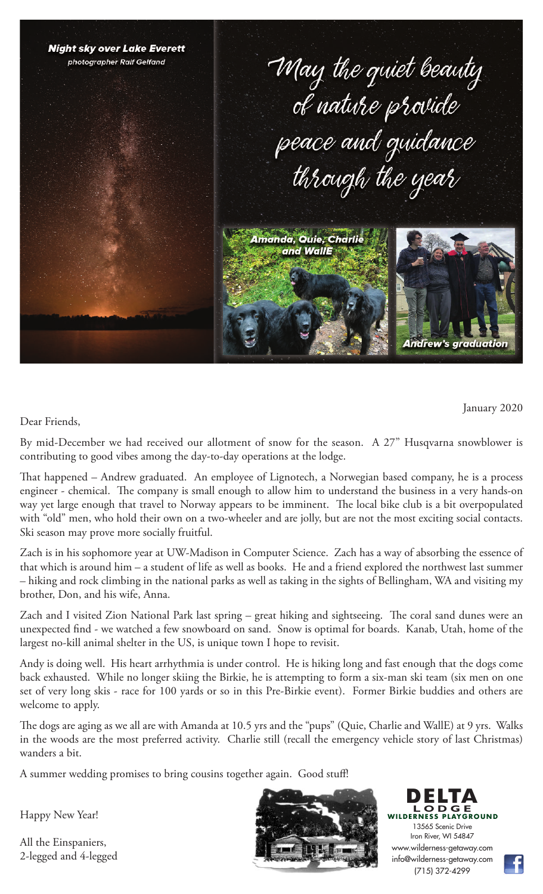

January 2020

Dear Friends,

By mid-December we had received our allotment of snow for the season. A 27" Husqvarna snowblower is contributing to good vibes among the day-to-day operations at the lodge.

That happened – Andrew graduated. An employee of Lignotech, a Norwegian based company, he is a process engineer - chemical. The company is small enough to allow him to understand the business in a very hands-on way yet large enough that travel to Norway appears to be imminent. The local bike club is a bit overpopulated with "old" men, who hold their own on a two-wheeler and are jolly, but are not the most exciting social contacts. Ski season may prove more socially fruitful.

Zach is in his sophomore year at UW-Madison in Computer Science. Zach has a way of absorbing the essence of that which is around him – a student of life as well as books. He and a friend explored the northwest last summer – hiking and rock climbing in the national parks as well as taking in the sights of Bellingham, WA and visiting my brother, Don, and his wife, Anna.

Zach and I visited Zion National Park last spring – great hiking and sightseeing. The coral sand dunes were an unexpected find - we watched a few snowboard on sand. Snow is optimal for boards. Kanab, Utah, home of the largest no-kill animal shelter in the US, is unique town I hope to revisit.

Andy is doing well. His heart arrhythmia is under control. He is hiking long and fast enough that the dogs come back exhausted. While no longer skiing the Birkie, he is attempting to form a six-man ski team (six men on one set of very long skis - race for 100 yards or so in this Pre-Birkie event). Former Birkie buddies and others are welcome to apply.

The dogs are aging as we all are with Amanda at 10.5 yrs and the "pups" (Quie, Charlie and WallE) at 9 yrs. Walks in the woods are the most preferred activity. Charlie still (recall the emergency vehicle story of last Christmas) wanders a bit.

A summer wedding promises to bring cousins together again. Good stuff!

Happy New Year!

All the Einspaniers, 2-legged and 4-legged